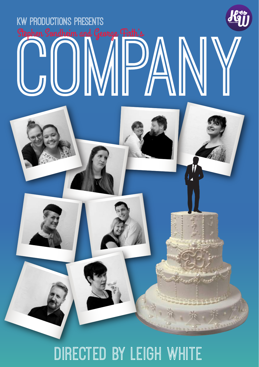

## Directed by Leigh White